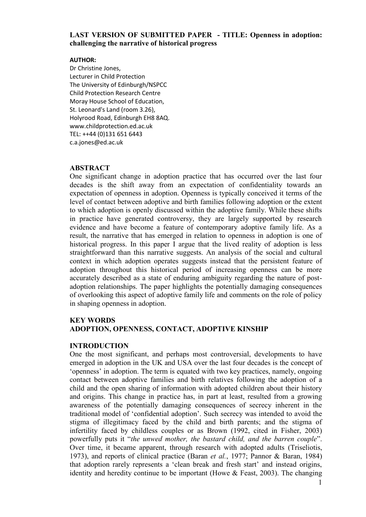# **LAST VERSION OF SUBMITTED PAPER - TITLE: Openness in adoption: challenging the narrative of historical progress**

### **AUTHOR:**

Dr Christine Jones, Lecturer in Child Protection The University of Edinburgh/NSPCC Child Protection Research Centre Moray House School of Education, St. Leonard's Land (room 3.26), Holyrood Road, Edinburgh EH8 8AQ. www.childprotection.ed.ac.uk TEL: ++44 (0)131 651 6443 c.a.jones@ed.ac.uk

## **ABSTRACT**

One significant change in adoption practice that has occurred over the last four decades is the shift away from an expectation of confidentiality towards an expectation of openness in adoption. Openness is typically conceived it terms of the level of contact between adoptive and birth families following adoption or the extent to which adoption is openly discussed within the adoptive family. While these shifts in practice have generated controversy, they are largely supported by research evidence and have become a feature of contemporary adoptive family life. As a result, the narrative that has emerged in relation to openness in adoption is one of historical progress. In this paper I argue that the lived reality of adoption is less straightforward than this narrative suggests. An analysis of the social and cultural context in which adoption operates suggests instead that the persistent feature of adoption throughout this historical period of increasing openness can be more accurately described as a state of enduring ambiguity regarding the nature of postadoption relationships. The paper highlights the potentially damaging consequences of overlooking this aspect of adoptive family life and comments on the role of policy in shaping openness in adoption.

# **KEY WORDS**

# **ADOPTION, OPENNESS, CONTACT, ADOPTIVE KINSHIP**

## **INTRODUCTION**

One the most significant, and perhaps most controversial, developments to have emerged in adoption in the UK and USA over the last four decades is the concept of 'openness' in adoption. The term is equated with two key practices, namely, ongoing contact between adoptive families and birth relatives following the adoption of a child and the open sharing of information with adopted children about their history and origins. This change in practice has, in part at least, resulted from a growing awareness of the potentially damaging consequences of secrecy inherent in the traditional model of 'confidential adoption'. Such secrecy was intended to avoid the stigma of illegitimacy faced by the child and birth parents; and the stigma of infertility faced by childless couples or as Brown (1992, [cited in Fisher, 2003\)](#page-10-0) powerfully puts it "*the unwed mother, the bastard child, and the barren couple*". Over time, it became apparent, through research with adopted adults [\(Triseliotis,](#page-12-0)  [1973\)](#page-12-0), and reports of clinical practice (Baran *et al.*[, 1977;](#page-10-1) [Pannor & Baran, 1984\)](#page-12-1) that adoption rarely represents a 'clean break and fresh start' and instead origins, identity and heredity continue to be important [\(Howe & Feast, 2003\)](#page-11-0). The changing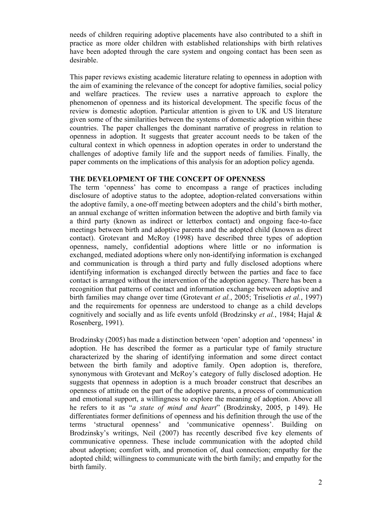needs of children requiring adoptive placements have also contributed to a shift in practice as more older children with established relationships with birth relatives have been adopted through the care system and ongoing contact has been seen as desirable.

This paper reviews existing academic literature relating to openness in adoption with the aim of examining the relevance of the concept for adoptive families, social policy and welfare practices. The review uses a narrative approach to explore the phenomenon of openness and its historical development. The specific focus of the review is domestic adoption. Particular attention is given to UK and US literature given some of the similarities between the systems of domestic adoption within these countries. The paper challenges the dominant narrative of progress in relation to openness in adoption. It suggests that greater account needs to be taken of the cultural context in which openness in adoption operates in order to understand the challenges of adoptive family life and the support needs of families. Finally, the paper comments on the implications of this analysis for an adoption policy agenda.

## **THE DEVELOPMENT OF THE CONCEPT OF OPENNESS**

The term 'openness' has come to encompass a range of practices including disclosure of adoptive status to the adoptee, adoption-related conversations within the adoptive family, a one-off meeting between adopters and the child's birth mother, an annual exchange of written information between the adoptive and birth family via a third party (known as indirect or letterbox contact) and ongoing face-to-face meetings between birth and adoptive parents and the adopted child (known as direct contact). Grotevant and McRoy [\(1998\)](#page-10-2) have described three types of adoption openness, namely, confidential adoptions where little or no information is exchanged, mediated adoptions where only non-identifying information is exchanged and communication is through a third party and fully disclosed adoptions where identifying information is exchanged directly between the parties and face to face contact is arranged without the intervention of the adoption agency. There has been a recognition that patterns of contact and information exchange between adoptive and birth families may change over time [\(Grotevant](#page-10-3) *et al.*, 2005; [Triseliotis](#page-12-2) *et al.*, 1997) and the requirements for openness are understood to change as a child develops cognitively and socially and as life events unfold [\(Brodzinsky](#page-10-4) *et al.*, 1984; [Hajal &](#page-10-5)  [Rosenberg, 1991\)](#page-10-5).

Brodzinsky [\(2005\)](#page-10-6) has made a distinction between 'open' adoption and 'openness' in adoption. He has described the former as a particular type of family structure characterized by the sharing of identifying information and some direct contact between the birth family and adoptive family. Open adoption is, therefore, synonymous with Grotevant and McRoy's category of fully disclosed adoption. He suggests that openness in adoption is a much broader construct that describes an openness of attitude on the part of the adoptive parents, a process of communication and emotional support, a willingness to explore the meaning of adoption. Above all he refers to it as "*a state of mind and heart*" [\(Brodzinsky, 2005, p 149\)](#page-10-6). He differentiates former definitions of openness and his definition through the use of the terms 'structural openness' and 'communicative openness'. Building on Brodzinsky's writings, Neil [\(2007\)](#page-11-1) has recently described five key elements of communicative openness. These include communication with the adopted child about adoption; comfort with, and promotion of, dual connection; empathy for the adopted child; willingness to communicate with the birth family; and empathy for the birth family.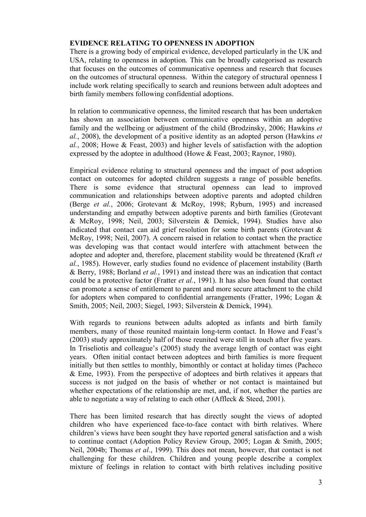# **EVIDENCE RELATING TO OPENNESS IN ADOPTION**

There is a growing body of empirical evidence, developed particularly in the UK and USA, relating to openness in adoption. This can be broadly categorised as research that focuses on the outcomes of communicative openness and research that focuses on the outcomes of structural openness. Within the category of structural openness I include work relating specifically to search and reunions between adult adoptees and birth family members following confidential adoptions.

In relation to communicative openness, the limited research that has been undertaken has shown an association between communicative openness within an adoptive family and the wellbeing or adjustment of the child [\(Brodzinsky, 2006;](#page-10-7) [Hawkins](#page-11-2) *et al.*[, 2008\)](#page-11-2), the development of a positive identity as an adopted person [\(Hawkins](#page-11-2) *et al.*[, 2008;](#page-11-2) [Howe & Feast, 2003\)](#page-11-0) and higher levels of satisfaction with the adoption expressed by the adoptee in adulthood [\(Howe & Feast, 2003;](#page-11-0) [Raynor, 1980\)](#page-12-3).

Empirical evidence relating to structural openness and the impact of post adoption contact on outcomes for adopted children suggests a range of possible benefits. There is some evidence that structural openness can lead to improved communication and relationships between adoptive parents and adopted children (Berge *et al.*[, 2006;](#page-10-8) [Grotevant & McRoy, 1998;](#page-10-2) [Ryburn, 1995\)](#page-12-4) and increased understanding and empathy between adoptive parents and birth families [\(Grotevant](#page-10-2)  [& McRoy, 1998;](#page-10-2) [Neil, 2003;](#page-11-3) [Silverstein & Demick, 1994\)](#page-12-5). Studies have also indicated that contact can aid grief resolution for some birth parents [\(Grotevant &](#page-10-2)  [McRoy, 1998;](#page-10-2) [Neil, 2007\)](#page-11-1). A concern raised in relation to contact when the practice was developing was that contact would interfere with attachment between the adoptee and adopter and, therefore, placement stability would be threatened [\(Kraft](#page-11-4) *et al.*[, 1985\)](#page-11-4). However, early studies found no evidence of placement instability [\(Barth](#page-10-9)  [& Berry, 1988;](#page-10-9) [Borland](#page-10-10) *et al.*, 1991) and instead there was an indication that contact could be a protective factor [\(Fratter](#page-10-11) *et al.*, 1991). It has also been found that contact can promote a sense of entitlement to parent and more secure attachment to the child for adopters when compared to confidential arrangements [\(Fratter, 1996;](#page-10-12) [Logan &](#page-11-5)  [Smith, 2005;](#page-11-5) [Neil, 2003;](#page-11-3) [Siegel, 1993;](#page-12-6) [Silverstein & Demick, 1994\)](#page-12-5).

With regards to reunions between adults adopted as infants and birth family members, many of those reunited maintain long-term contact. In Howe and Feast's [\(2003\)](#page-11-0) study approximately half of those reunited were still in touch after five years. In Triseliotis and colleague's [\(2005\)](#page-12-7) study the average length of contact was eight years. Often initial contact between adoptees and birth families is more frequent initially but then settles to monthly, bimonthly or contact at holiday times [\(Pacheco](#page-11-6)  [& Eme, 1993\)](#page-11-6). From the perspective of adoptees and birth relatives it appears that success is not judged on the basis of whether or not contact is maintained but whether expectations of the relationship are met, and, if not, whether the parties are able to negotiate a way of relating to each other [\(Affleck & Steed, 2001\)](#page-10-13).

There has been limited research that has directly sought the views of adopted children who have experienced face-to-face contact with birth relatives. Where children's views have been sought they have reported general satisfaction and a wish to continue contact [\(Adoption Policy Review Group, 2005;](#page-9-0) [Logan & Smith, 2005;](#page-11-5) [Neil, 2004b;](#page-11-7) [Thomas](#page-12-8) *et al.*, 1999). This does not mean, however, that contact is not challenging for these children. Children and young people describe a complex mixture of feelings in relation to contact with birth relatives including positive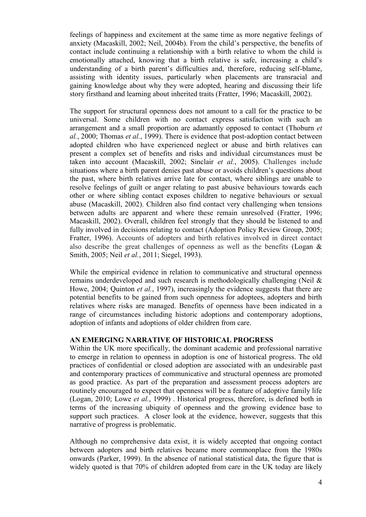feelings of happiness and excitement at the same time as more negative feelings of anxiety [\(Macaskill, 2002;](#page-11-8) [Neil, 2004b\)](#page-11-7). From the child's perspective, the benefits of contact include continuing a relationship with a birth relative to whom the child is emotionally attached, knowing that a birth relative is safe, increasing a child's understanding of a birth parent's difficulties and, therefore, reducing self-blame, assisting with identity issues, particularly when placements are transracial and gaining knowledge about why they were adopted, hearing and discussing their life story firsthand and learning about inherited traits [\(Fratter, 1996;](#page-10-12) [Macaskill, 2002\)](#page-11-8).

The support for structural openness does not amount to a call for the practice to be universal. Some children with no contact express satisfaction with such an arrangement and a small proportion are adamantly opposed to contact [\(Thoburn](#page-12-9) *et al.*[, 2000;](#page-12-9) [Thomas](#page-12-8) *et al.*, 1999). There is evidence that post-adoption contact between adopted children who have experienced neglect or abuse and birth relatives can present a complex set of benefits and risks and individual circumstances must be taken into account [\(Macaskill, 2002;](#page-11-8) [Sinclair](#page-12-10) *et al.*, 2005). Challenges include situations where a birth parent denies past abuse or avoids children's questions about the past, where birth relatives arrive late for contact, where siblings are unable to resolve feelings of guilt or anger relating to past abusive behaviours towards each other or where sibling contact exposes children to negative behaviours or sexual abuse [\(Macaskill, 2002\)](#page-11-8). Children also find contact very challenging when tensions between adults are apparent and where these remain unresolved [\(Fratter, 1996;](#page-10-12) [Macaskill, 2002\)](#page-11-8). Overall, children feel strongly that they should be listened to and fully involved in decisions relating to contact [\(Adoption Policy Review Group, 2005;](#page-9-0) [Fratter, 1996\)](#page-10-12). Accounts of adopters and birth relatives involved in direct contact also describe the great challenges of openness as well as the benefits [\(Logan &](#page-11-5)  [Smith, 2005;](#page-11-5) Neil *et al.*[, 2011;](#page-11-9) [Siegel, 1993\)](#page-12-6).

While the empirical evidence in relation to communicative and structural openness remains underdeveloped and such research is methodologically challenging [\(Neil &](#page-11-10)  [Howe, 2004;](#page-11-10) [Quinton](#page-12-11) *et al.*, 1997), increasingly the evidence suggests that there are potential benefits to be gained from such openness for adoptees, adopters and birth relatives where risks are managed. Benefits of openness have been indicated in a range of circumstances including historic adoptions and contemporary adoptions, adoption of infants and adoptions of older children from care.

# **AN EMERGING NARRATIVE OF HISTORICAL PROGRESS**

Within the UK more specifically, the dominant academic and professional narrative to emerge in relation to openness in adoption is one of historical progress. The old practices of confidential or closed adoption are associated with an undesirable past and contemporary practices of communicative and structural openness are promoted as good practice. As part of the preparation and assessment process adopters are routinely encouraged to expect that openness will be a feature of adoptive family life [\(Logan, 2010;](#page-11-11) Lowe *et al.*[, 1999\)](#page-11-12) . Historical progress, therefore, is defined both in terms of the increasing ubiquity of openness and the growing evidence base to support such practices. A closer look at the evidence, however, suggests that this narrative of progress is problematic.

Although no comprehensive data exist, it is widely accepted that ongoing contact between adopters and birth relatives became more commonplace from the 1980s onwards [\(Parker, 1999\)](#page-12-12). In the absence of national statistical data, the figure that is widely quoted is that 70% of children adopted from care in the UK today are likely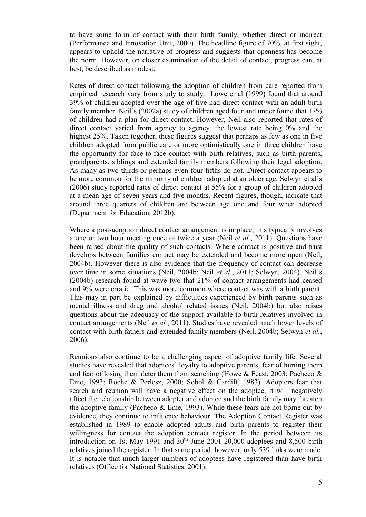to have some form of contact with their birth family, whether direct or indirect [\(Performance and Innovation Unit, 2000\)](#page-12-13). The headline figure of 70%, at first sight, appears to uphold the narrative of progress and suggests that openness has become the norm. However, on closer examination of the detail of contact, progress can, at best, be described as modest.

Rates of direct contact following the adoption of children from care reported from empirical research vary from study to study. Lowe et al [\(1999\)](#page-11-12) found that around 39% of children adopted over the age of five had direct contact with an adult birth family member. Neil's [\(2002a\)](#page-11-13) study of children aged four and under found that 17% of children had a plan for direct contact. However, Neil also reported that rates of direct contact varied from agency to agency, the lowest rate being 0% and the highest 25%. Taken together, these figures suggest that perhaps as few as one in five children adopted from public care or more optimistically one in three children have the opportunity for face-to-face contact with birth relatives, such as birth parents, grandparents, siblings and extended family members following their legal adoption. As many as two thirds or perhaps even four fifths do not. Direct contact appears to be more common for the minority of children adopted at an older age. Selwyn et al's [\(2006\)](#page-12-14) study reported rates of direct contact at 55% for a group of children adopted at a mean age of seven years and five months. Recent figures, though, indicate that around three quarters of children are between age one and four when adopted [\(Department for Education, 2012b\)](#page-10-14).

Where a post-adoption direct contact arrangement is in place, this typically involves a one or two hour meeting once or twice a year (Neil *et al.*[, 2011\)](#page-11-9). Questions have been raised about the quality of such contacts. Where contact is positive and trust develops between families contact may be extended and become more open [\(Neil,](#page-11-7)  [2004b\)](#page-11-7). However there is also evidence that the frequency of contact can decrease over time in some situations [\(Neil, 2004b;](#page-11-7) Neil *et al.*[, 2011;](#page-11-9) [Selwyn, 2004\)](#page-12-15). Neil's [\(2004b\)](#page-11-7) research found at wave two that 21% of contact arrangements had ceased and 9% were erratic. This was more common where contact was with a birth parent. This may in part be explained by difficulties experienced by birth parents such as mental illness and drug and alcohol related issues [\(Neil, 2004b\)](#page-11-7) but also raises questions about the adequacy of the support available to birth relatives involved in contact arrangements (Neil *et al.*[, 2011\)](#page-11-9). Studies have revealed much lower levels of contact with birth fathers and extended family members [\(Neil, 2004b;](#page-11-7) [Selwyn](#page-12-14) *et al.*, [2006\)](#page-12-14).

Reunions also continue to be a challenging aspect of adoptive family life. Several studies have revealed that adoptees' loyalty to adoptive parents, fear of hurting them and fear of losing them deter them from searching (Howe  $\&$  Feast, 2003; Pacheco  $\&$ [Eme, 1993;](#page-11-6) [Roche & Perlesz, 2000;](#page-12-16) [Sobol & Cardiff, 1983\)](#page-12-17). Adopters fear that search and reunion will have a negative effect on the adoptee, it will negatively affect the relationship between adopter and adoptee and the birth family may threaten the adoptive family [\(Pacheco & Eme, 1993\)](#page-11-6). While these fears are not borne out by evidence, they continue to influence behaviour. The Adoption Contact Register was established in 1989 to enable adopted adults and birth parents to register their willingness for contact the adoption contact register. In the period between its introduction on 1st May 1991 and  $30<sup>th</sup>$  June 2001 20,000 adoptees and 8,500 birth relatives joined the register. In that same period, however, only 539 links were made. It is notable that much larger numbers of adoptees have registered than have birth relatives [\(Office for National Statistics, 2001\)](#page-11-14).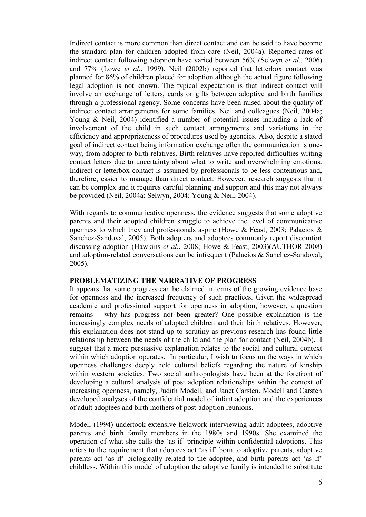Indirect contact is more common than direct contact and can be said to have become the standard plan for children adopted from care [\(Neil, 2004a\)](#page-11-15). Reported rates of indirect contact following adoption have varied between 56% [\(Selwyn](#page-12-14) *et al.*, 2006) and 77% (Lowe *et al.*[, 1999\)](#page-11-12). Neil [\(2002b\)](#page-11-16) reported that letterbox contact was planned for 86% of children placed for adoption although the actual figure following legal adoption is not known. The typical expectation is that indirect contact will involve an exchange of letters, cards or gifts between adoptive and birth families through a professional agency. Some concerns have been raised about the quality of indirect contact arrangements for some families. Neil and colleagues [\(Neil, 2004a;](#page-11-15) [Young & Neil, 2004\)](#page-12-18) identified a number of potential issues including a lack of involvement of the child in such contact arrangements and variations in the efficiency and appropriateness of procedures used by agencies. Also, despite a stated goal of indirect contact being information exchange often the communication is oneway, from adopter to birth relatives. Birth relatives have reported difficulties writing contact letters due to uncertainty about what to write and overwhelming emotions. Indirect or letterbox contact is assumed by professionals to be less contentious and, therefore, easier to manage than direct contact. However, research suggests that it can be complex and it requires careful planning and support and this may not always be provided [\(Neil, 2004a;](#page-11-15) [Selwyn, 2004;](#page-12-15) [Young & Neil, 2004\)](#page-12-18).

With regards to communicative openness, the evidence suggests that some adoptive parents and their adopted children struggle to achieve the level of communicative openness to which they and professionals aspire [\(Howe & Feast, 2003;](#page-11-0) [Palacios &](#page-11-17)  [Sanchez-Sandoval, 2005\)](#page-11-17). Both adopters and adoptees commonly report discomfort discussing adoption [\(Hawkins](#page-11-2) *et al.*, 2008; [Howe & Feast, 2003\)](#page-11-0)(AUTHOR 2008) and adoption-related conversations can be infrequent [\(Palacios & Sanchez-Sandoval,](#page-11-17)  [2005\)](#page-11-17).

### **PROBLEMATIZING THE NARRATIVE OF PROGRESS**

It appears that some progress can be claimed in terms of the growing evidence base for openness and the increased frequency of such practices. Given the widespread academic and professional support for openness in adoption, however, a question remains – why has progress not been greater? One possible explanation is the increasingly complex needs of adopted children and their birth relatives. However, this explanation does not stand up to scrutiny as previous research has found little relationship between the needs of the child and the plan for contact [\(Neil, 2004b\)](#page-11-7). I suggest that a more persuasive explanation relates to the social and cultural context within which adoption operates. In particular, I wish to focus on the ways in which openness challenges deeply held cultural beliefs regarding the nature of kinship within western societies. Two social anthropologists have been at the forefront of developing a cultural analysis of post adoption relationships within the context of increasing openness, namely, Judith Modell, and Janet Carsten. Modell and Carsten developed analyses of the confidential model of infant adoption and the experiences of adult adoptees and birth mothers of post-adoption reunions.

Modell [\(1994\)](#page-11-18) undertook extensive fieldwork interviewing adult adoptees, adoptive parents and birth family members in the 1980s and 1990s. She examined the operation of what she calls the 'as if' principle within confidential adoptions. This refers to the requirement that adoptees act 'as if' born to adoptive parents, adoptive parents act 'as if' biologically related to the adoptee, and birth parents act 'as if' childless. Within this model of adoption the adoptive family is intended to substitute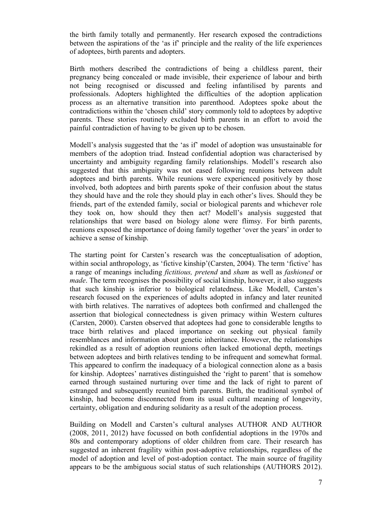the birth family totally and permanently. Her research exposed the contradictions between the aspirations of the 'as if' principle and the reality of the life experiences of adoptees, birth parents and adopters.

Birth mothers described the contradictions of being a childless parent, their pregnancy being concealed or made invisible, their experience of labour and birth not being recognised or discussed and feeling infantilised by parents and professionals. Adopters highlighted the difficulties of the adoption application process as an alternative transition into parenthood. Adoptees spoke about the contradictions within the 'chosen child' story commonly told to adoptees by adoptive parents. These stories routinely excluded birth parents in an effort to avoid the painful contradiction of having to be given up to be chosen.

Modell's analysis suggested that the 'as if' model of adoption was unsustainable for members of the adoption triad. Instead confidential adoption was characterised by uncertainty and ambiguity regarding family relationships. Modell's research also suggested that this ambiguity was not eased following reunions between adult adoptees and birth parents. While reunions were experienced positively by those involved, both adoptees and birth parents spoke of their confusion about the status they should have and the role they should play in each other's lives. Should they be friends, part of the extended family, social or biological parents and whichever role they took on, how should they then act? Modell's analysis suggested that relationships that were based on biology alone were flimsy. For birth parents, reunions exposed the importance of doing family together 'over the years' in order to achieve a sense of kinship.

The starting point for Carsten's research was the conceptualisation of adoption, within social anthropology, as 'fictive kinship' [\(Carsten, 2004\)](#page-10-15). The term 'fictive' has a range of meanings including *fictitious, pretend* and *sham* as well as *fashioned* or *made*. The term recognises the possibility of social kinship, however, it also suggests that such kinship is inferior to biological relatedness. Like Modell, Carsten's research focused on the experiences of adults adopted in infancy and later reunited with birth relatives. The narratives of adoptees both confirmed and challenged the assertion that biological connectedness is given primacy within Western cultures [\(Carsten, 2000\)](#page-10-16). Carsten observed that adoptees had gone to considerable lengths to trace birth relatives and placed importance on seeking out physical family resemblances and information about genetic inheritance. However, the relationships rekindled as a result of adoption reunions often lacked emotional depth, meetings between adoptees and birth relatives tending to be infrequent and somewhat formal. This appeared to confirm the inadequacy of a biological connection alone as a basis for kinship. Adoptees' narratives distinguished the 'right to parent' that is somehow earned through sustained nurturing over time and the lack of right to parent of estranged and subsequently reunited birth parents. Birth, the traditional symbol of kinship, had become disconnected from its usual cultural meaning of longevity, certainty, obligation and enduring solidarity as a result of the adoption process.

Building on Modell and Carsten's cultural analyses AUTHOR AND AUTHOR (2008, 2011, 2012) have focussed on both confidential adoptions in the 1970s and 80s and contemporary adoptions of older children from care. Their research has suggested an inherent fragility within post-adoptive relationships, regardless of the model of adoption and level of post-adoption contact. The main source of fragility appears to be the ambiguous social status of such relationships (AUTHORS 2012).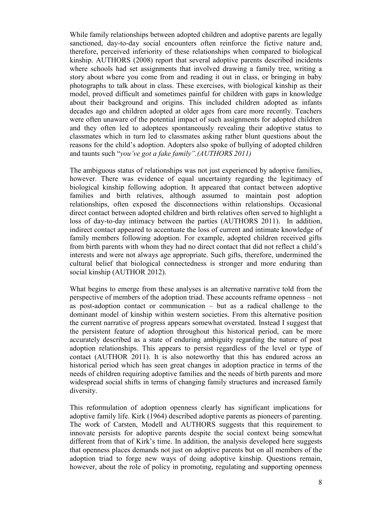While family relationships between adopted children and adoptive parents are legally sanctioned, day-to-day social encounters often reinforce the fictive nature and, therefore, perceived inferiority of these relationships when compared to biological kinship. AUTHORS (2008) report that several adoptive parents described incidents where schools had set assignments that involved drawing a family tree, writing a story about where you come from and reading it out in class, or bringing in baby photographs to talk about in class. These exercises, with biological kinship as their model, proved difficult and sometimes painful for children with gaps in knowledge about their background and origins. This included children adopted as infants decades ago and children adopted at older ages from care more recently. Teachers were often unaware of the potential impact of such assignments for adopted children and they often led to adoptees spontaneously revealing their adoptive status to classmates which in turn led to classmates asking rather blunt questions about the reasons for the child's adoption. Adopters also spoke of bullying of adopted children and taunts such "*you've got a fake family".(AUTHORS 2011)*

The ambiguous status of relationships was not just experienced by adoptive families, however. There was evidence of equal uncertainty regarding the legitimacy of biological kinship following adoption. It appeared that contact between adoptive families and birth relatives, although assumed to maintain post adoption relationships, often exposed the disconnections within relationships. Occasional direct contact between adopted children and birth relatives often served to highlight a loss of day-to-day intimacy between the parties (AUTHORS 2011). In addition, indirect contact appeared to accentuate the loss of current and intimate knowledge of family members following adoption. For example, adopted children received gifts from birth parents with whom they had no direct contact that did not reflect a child's interests and were not always age appropriate. Such gifts, therefore, undermined the cultural belief that biological connectedness is stronger and more enduring than social kinship (AUTHOR 2012).

What begins to emerge from these analyses is an alternative narrative told from the perspective of members of the adoption triad. These accounts reframe openness – not as post-adoption contact or communication – but as a radical challenge to the dominant model of kinship within western societies. From this alternative position the current narrative of progress appears somewhat overstated. Instead I suggest that the persistent feature of adoption throughout this historical period, can be more accurately described as a state of enduring ambiguity regarding the nature of post adoption relationships. This appears to persist regardless of the level or type of contact (AUTHOR 2011). It is also noteworthy that this has endured across an historical period which has seen great changes in adoption practice in terms of the needs of children requiring adoptive families and the needs of birth parents and more widespread social shifts in terms of changing family structures and increased family diversity.

This reformulation of adoption openness clearly has significant implications for adoptive family life. Kirk [\(1964\)](#page-11-19) described adoptive parents as pioneers of parenting. The work of Carsten, Modell and AUTHORS suggests that this requirement to innovate persists for adoptive parents despite the social context being somewhat different from that of Kirk's time. In addition, the analysis developed here suggests that openness places demands not just on adoptive parents but on all members of the adoption triad to forge new ways of doing adoptive kinship. Questions remain, however, about the role of policy in promoting, regulating and supporting openness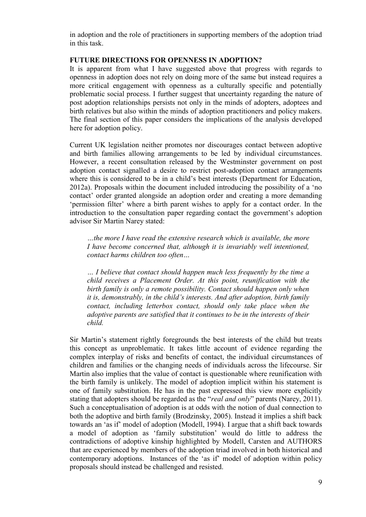in adoption and the role of practitioners in supporting members of the adoption triad in this task.

## **FUTURE DIRECTIONS FOR OPENNESS IN ADOPTION?**

It is apparent from what I have suggested above that progress with regards to openness in adoption does not rely on doing more of the same but instead requires a more critical engagement with openness as a culturally specific and potentially problematic social process. I further suggest that uncertainty regarding the nature of post adoption relationships persists not only in the minds of adopters, adoptees and birth relatives but also within the minds of adoption practitioners and policy makers. The final section of this paper considers the implications of the analysis developed here for adoption policy.

Current UK legislation neither promotes nor discourages contact between adoptive and birth families allowing arrangements to be led by individual circumstances. However, a recent consultation released by the Westminster government on post adoption contact signalled a desire to restrict post-adoption contact arrangements where this is considered to be in a child's best interests [\(Department for Education,](#page-10-17)  [2012a\)](#page-10-17). Proposals within the document included introducing the possibility of a 'no contact' order granted alongside an adoption order and creating a more demanding 'permission filter' where a birth parent wishes to apply for a contact order. In the introduction to the consultation paper regarding contact the government's adoption advisor Sir Martin Narey stated:

*…the more I have read the extensive research which is available, the more I have become concerned that, although it is invariably well intentioned, contact harms children too often…*

*… I believe that contact should happen much less frequently by the time a child receives a Placement Order. At this point, reunification with the birth family is only a remote possibility. Contact should happen only when it is, demonstrably, in the child's interests. And after adoption, birth family contact, including letterbox contact, should only take place when the adoptive parents are satisfied that it continues to be in the interests of their child.*

Sir Martin's statement rightly foregrounds the best interests of the child but treats this concept as unproblematic. It takes little account of evidence regarding the complex interplay of risks and benefits of contact, the individual circumstances of children and families or the changing needs of individuals across the lifecourse. Sir Martin also implies that the value of contact is questionable where reunification with the birth family is unlikely. The model of adoption implicit within his statement is one of family substitution. He has in the past expressed this view more explicitly stating that adopters should be regarded as the "*real and only*" parents [\(Narey, 2011\)](#page-11-20). Such a conceptualisation of adoption is at odds with the notion of dual connection to both the adoptive and birth family [\(Brodzinsky, 2005\)](#page-10-6). Instead it implies a shift back towards an 'as if' model of adoption [\(Modell, 1994\)](#page-11-18). I argue that a shift back towards a model of adoption as 'family substitution' would do little to address the contradictions of adoptive kinship highlighted by Modell, Carsten and AUTHORS that are experienced by members of the adoption triad involved in both historical and contemporary adoptions. Instances of the 'as if' model of adoption within policy proposals should instead be challenged and resisted.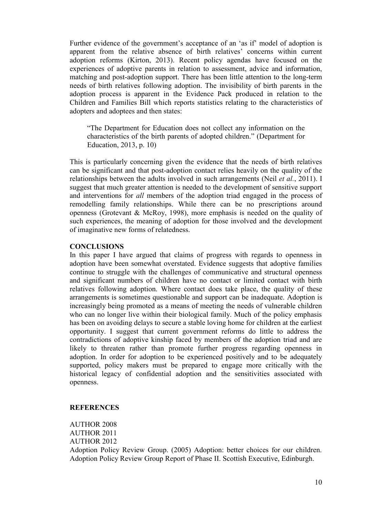Further evidence of the government's acceptance of an 'as if' model of adoption is apparent from the relative absence of birth relatives' concerns within current adoption reforms [\(Kirton, 2013\)](#page-11-21). Recent policy agendas have focused on the experiences of adoptive parents in relation to assessment, advice and information, matching and post-adoption support. There has been little attention to the long-term needs of birth relatives following adoption. The invisibility of birth parents in the adoption process is apparent in the Evidence Pack produced in relation to the Children and Families Bill which reports statistics relating to the characteristics of adopters and adoptees and then states:

"The Department for Education does not collect any information on the characteristics of the birth parents of adopted children." [\(Department for](#page-10-18)  [Education, 2013, p. 10\)](#page-10-18)

This is particularly concerning given the evidence that the needs of birth relatives can be significant and that post-adoption contact relies heavily on the quality of the relationships between the adults involved in such arrangements (Neil *et al.*[, 2011\)](#page-11-9). I suggest that much greater attention is needed to the development of sensitive support and interventions for *all* members of the adoption triad engaged in the process of remodelling family relationships. While there can be no prescriptions around openness [\(Grotevant & McRoy, 1998\)](#page-10-2), more emphasis is needed on the quality of such experiences, the meaning of adoption for those involved and the development of imaginative new forms of relatedness.

### **CONCLUSIONS**

In this paper I have argued that claims of progress with regards to openness in adoption have been somewhat overstated. Evidence suggests that adoptive families continue to struggle with the challenges of communicative and structural openness and significant numbers of children have no contact or limited contact with birth relatives following adoption. Where contact does take place, the quality of these arrangements is sometimes questionable and support can be inadequate. Adoption is increasingly being promoted as a means of meeting the needs of vulnerable children who can no longer live within their biological family. Much of the policy emphasis has been on avoiding delays to secure a stable loving home for children at the earliest opportunity. I suggest that current government reforms do little to address the contradictions of adoptive kinship faced by members of the adoption triad and are likely to threaten rather than promote further progress regarding openness in adoption. In order for adoption to be experienced positively and to be adequately supported, policy makers must be prepared to engage more critically with the historical legacy of confidential adoption and the sensitivities associated with openness.

### **REFERENCES**

<span id="page-9-0"></span>AUTHOR 2008 AUTHOR 2011 AUTHOR 2012 Adoption Policy Review Group. (2005) Adoption: better choices for our children. Adoption Policy Review Group Report of Phase II. Scottish Executive, Edinburgh.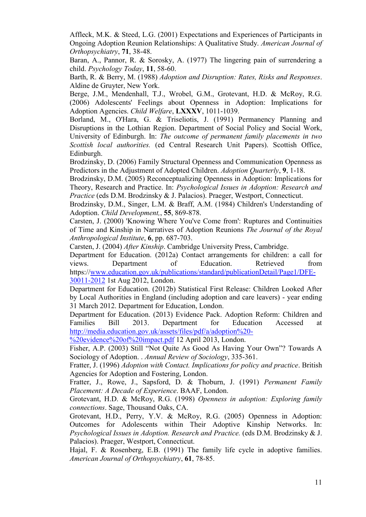<span id="page-10-13"></span>Affleck, M.K. & Steed, L.G. (2001) Expectations and Experiences of Participants in Ongoing Adoption Reunion Relationships: A Qualitative Study. *American Journal of Orthopsychiatry*, **71**, 38-48.

<span id="page-10-1"></span>Baran, A., Pannor, R. & Sorosky, A. (1977) The lingering pain of surrendering a child. *Psychology Today*, **11**, 58-60.

<span id="page-10-9"></span>Barth, R. & Berry, M. (1988) *Adoption and Disruption: Rates, Risks and Responses*. Aldine de Gruyter, New York.

<span id="page-10-8"></span>Berge, J.M., Mendenhall, T.J., Wrobel, G.M., Grotevant, H.D. & McRoy, R.G. (2006) Adolescents' Feelings about Openness in Adoption: Implications for Adoption Agencies. *Child Welfare*, **LXXXV**, 1011-1039.

<span id="page-10-10"></span>Borland, M., O'Hara, G. & Triseliotis, J. (1991) Permanency Planning and Disruptions in the Lothian Region. Department of Social Policy and Social Work, University of Edinburgh. In: *The outcome of permanent family placements in two Scottish local authorities.* (ed Central Research Unit Papers). Scottish Office, Edinburgh.

<span id="page-10-7"></span>Brodzinsky, D. (2006) Family Structural Openness and Communication Openness as Predictors in the Adjustment of Adopted Children. *Adoption Quarterly*, **9**, 1-18.

<span id="page-10-6"></span>Brodzinsky, D.M. (2005) Reconceptualizing Openness in Adoption: Implications for Theory, Research and Practice. In: *Psychological Issues in Adoption: Research and Practice* (eds D.M. Brodzinsky & J. Palacios). Praeger, Westport, Connecticut.

<span id="page-10-4"></span>Brodzinsky, D.M., Singer, L.M. & Braff, A.M. (1984) Children's Understanding of Adoption. *Child Development,*, **55**, 869-878.

<span id="page-10-16"></span>Carsten, J. (2000) 'Knowing Where You've Come from': Ruptures and Continuities of Time and Kinship in Narratives of Adoption Reunions *The Journal of the Royal Anthropological Institute*, **6**, pp. 687-703.

<span id="page-10-15"></span>Carsten, J. (2004) *After Kinship*. Cambridge University Press, Cambridge.

<span id="page-10-17"></span>Department for Education. (2012a) Contact arrangements for children: a call for views. Department of Education. Retrieved from https:/[/www.education.gov.uk/publications/standard/publicationDetail/Page1/DFE-](http://www.education.gov.uk/publications/standard/publicationDetail/Page1/DFE-30011-2012)[30011-2012](http://www.education.gov.uk/publications/standard/publicationDetail/Page1/DFE-30011-2012) 1st Aug 2012, London.

<span id="page-10-14"></span>Department for Education. (2012b) Statistical First Release: Children Looked After by Local Authorities in England (including adoption and care leavers) - year ending 31 March 2012. Department for Education, London.

<span id="page-10-18"></span>Department for Education. (2013) Evidence Pack. Adoption Reform: Children and Families Bill 2013. Department for Education Accessed at [http://media.education.gov.uk/assets/files/pdf/a/adoption%20-](http://media.education.gov.uk/assets/files/pdf/a/adoption%20-%20evidence%20of%20impact.pdf)

[%20evidence%20of%20impact.pdf](http://media.education.gov.uk/assets/files/pdf/a/adoption%20-%20evidence%20of%20impact.pdf) 12 April 2013, London.

<span id="page-10-0"></span>Fisher, A.P. (2003) Still "Not Quite As Good As Having Your Own"? Towards A Sociology of Adoption. . *Annual Review of Sociology*, 335-361.

<span id="page-10-12"></span>Fratter, J. (1996) *Adoption with Contact. Implications for policy and practice*. British Agencies for Adoption and Fostering, London.

<span id="page-10-11"></span>Fratter, J., Rowe, J., Sapsford, D. & Thoburn, J. (1991) *Permanent Family Placement: A Decade of Experience*. BAAF, London.

<span id="page-10-2"></span>Grotevant, H.D. & McRoy, R.G. (1998) *Openness in adoption: Exploring family connections*. Sage, Thousand Oaks, CA.

<span id="page-10-3"></span>Grotevant, H.D., Perry, Y.V. & McRoy, R.G. (2005) Openness in Adoption: Outcomes for Adolescents within Their Adoptive Kinship Networks. In: *Psychological Issues in Adoption. Research and Practice.* (eds D.M. Brodzinsky & J. Palacios). Praeger, Westport, Connecticut.

<span id="page-10-5"></span>Hajal, F. & Rosenberg, E.B. (1991) The family life cycle in adoptive families. *American Journal of Orthopsychiatry*, **61**, 78-85.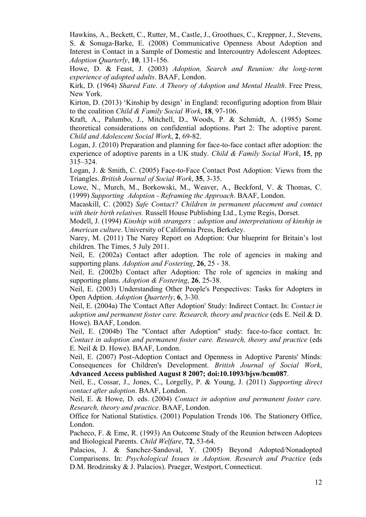<span id="page-11-2"></span>Hawkins, A., Beckett, C., Rutter, M., Castle, J., Groothues, C., Kreppner, J., Stevens, S. & Sonuga-Barke, E. (2008) Communicative Openness About Adoption and Interest in Contact in a Sample of Domestic and Intercountry Adolescent Adoptees. *Adoption Quarterly*, **10**, 131-156.

<span id="page-11-0"></span>Howe, D. & Feast, J. (2003) *Adoption, Search and Reunion: the long-term experience of adopted adults*. BAAF, London.

<span id="page-11-19"></span>Kirk, D. (1964) *Shared Fate. A Theory of Adoption and Mental Health*. Free Press, New York.

<span id="page-11-21"></span>Kirton, D. (2013) 'Kinship by design' in England: reconfiguring adoption from Blair to the coalition *Child & Family Social Work*, **18**, 97-106.

<span id="page-11-4"></span>Kraft, A., Palumbo, J., Mitchell, D., Woods, P. & Schmidt, A. (1985) Some theoretical considerations on confidential adoptions. Part 2: The adoptive parent. *Child and Adolescent Social Work*, **2**, 69-82.

<span id="page-11-11"></span>Logan, J. (2010) Preparation and planning for face-to-face contact after adoption: the experience of adoptive parents in a UK study. *Child & Family Social Work*, **15**, pp 315–324.

<span id="page-11-5"></span>Logan, J. & Smith, C. (2005) Face-to-Face Contact Post Adoption: Views from the Triangles. *British Journal of Social Work*, **35**, 3-35.

<span id="page-11-12"></span>Lowe, N., Murch, M., Borkowski, M., Weaver, A., Beckford, V. & Thomas, C. (1999) *Supporting Adoption - Reframing the Approach*. BAAF, London.

<span id="page-11-8"></span>Macaskill, C. (2002) *Safe Contact? Children in permanent placement and contact with their birth relatives.* Russell House Publishing Ltd., Lyme Regis, Dorset.

<span id="page-11-18"></span>Modell, J. (1994) *Kinship with strangers : adoption and interpretations of kinship in American culture*. University of California Press, Berkeley.

<span id="page-11-20"></span>Narey, M. (2011) The Narey Report on Adoption: Our blueprint for Britain's lost children. The Times, 5 July 2011.

<span id="page-11-13"></span>Neil, E. (2002a) Contact after adoption. The role of agencies in making and supporting plans. *Adoption and Fostering*, **26**, 25 - 38.

<span id="page-11-16"></span>Neil, E. (2002b) Contact after Adoption: The role of agencies in making and supporting plans. *Adoption & Fostering*, **26**, 25-38.

<span id="page-11-3"></span>Neil, E. (2003) Understanding Other People's Perspectives: Tasks for Adopters in Open Adption. *Adoption Quarterly*, **6**, 3-30.

<span id="page-11-15"></span>Neil, E. (2004a) The 'Contact After Adoption' Study: Indirect Contact. In: *Contact in adoption and permanent foster care. Research, theory and practice* (eds E. Neil & D. Howe). BAAF, London.

<span id="page-11-7"></span>Neil, E. (2004b) The "Contact after Adoption" study: face-to-face contact. In: *Contact in adoption and permanent foster care. Research, theory and practice* (eds E. Neil & D. Howe). BAAF, London.

<span id="page-11-1"></span>Neil, E. (2007) Post-Adoption Contact and Openness in Adoptive Parents' Minds: Consequences for Children's Development. *British Journal of Social Work*, **Advanced Access published August 8 2007; doi:10.1093/bjsw/bcm087**.

<span id="page-11-9"></span>Neil, E., Cossar, J., Jones, C., Lorgelly, P. & Young, J. (2011) *Supporting direct contact after adoption*. BAAF, London.

<span id="page-11-10"></span>Neil, E. & Howe, D. eds. (2004) *Contact in adoption and permanent foster care. Research, theory and practice*. BAAF, London.

<span id="page-11-14"></span>Office for National Statistics. (2001) Population Trends 106. The Stationery Office, London.

<span id="page-11-6"></span>Pacheco, F. & Eme, R. (1993) An Outcome Study of the Reunion between Adoptees and Biological Parents. *Child Welfare*, **72**, 53-64.

<span id="page-11-17"></span>Palacios, J. & Sanchez-Sandoval, Y. (2005) Beyond Adopted/Nonadopted Comparisons. In: *Psychological Issues in Adoption. Research and Practice* (eds D.M. Brodzinsky & J. Palacios). Praeger, Westport, Connecticut.